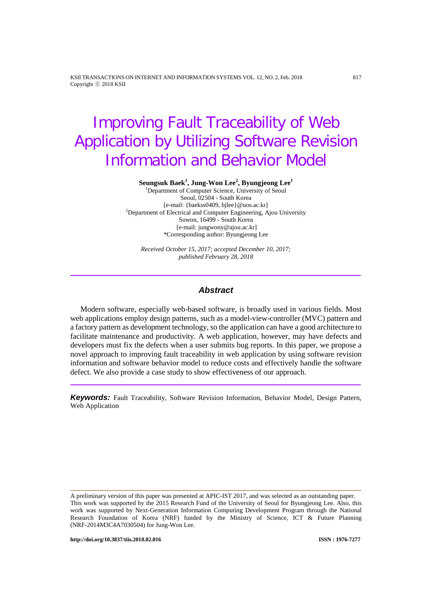KSII TRANSACTIONS ON INTERNET AND INFORMATION SYSTEMS VOL. 12, NO. 2, Feb. 2018 817 Copyright ⓒ 2018 KSII

# Improving Fault Traceability of Web Application by Utilizing Software Revision Information and Behavior Model

**Seungsuk Baek1 , Jung-Won Lee<sup>2</sup> , Byungjeong Lee<sup>1</sup>** 1 Department of Computer Science, University of Seoul

Seoul, 02504 - South Korea<br>[e-mail: {baekss0409, bilee} @uos.ac.kr] [e-mail: {baekss0409, bjlee}@uos.ac.kr] <sup>2</sup> Department of Electrical and Computer Engineering, Ajou University Suwon, 16499 - South Korea [e-mail: jungwony@ajou.ac.kr] \*Corresponding author: Byungjeong Lee

*Received October 15, 2017; accepted December 10, 2017; published February 28, 2018*

## *Abstract*

Modern software, especially web-based software, is broadly used in various fields. Most web applications employ design patterns, such as a model-view-controller (MVC) pattern and a factory pattern as development technology, so the application can have a good architecture to facilitate maintenance and productivity. A web application, however, may have defects and developers must fix the defects when a user submits bug reports. In this paper, we propose a novel approach to improving fault traceability in web application by using software revision information and software behavior model to reduce costs and effectively handle the software defect. We also provide a case study to show effectiveness of our approach.

*Keywords:* Fault Traceability, Software Revision Information, Behavior Model, Design Pattern, Web Application

A preliminary version of this paper was presented at APIC-IST 2017, and was selected as an outstanding paper. This work was supported by the 2015 Research Fund of the University of Seoul for Byungjeong Lee. Also, this work was supported by Next-Generation Information Computing Development Program through the National Research Foundation of Korea (NRF) funded by the Ministry of Science, ICT & Future Planning (NRF-2014M3C4A7030504) for Jung-Won Lee.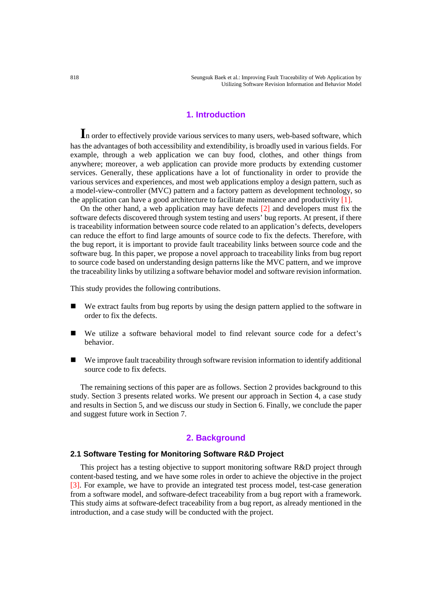818 Seungsuk Baek et al.: Improving Fault Traceability of Web Application by Utilizing Software Revision Information and Behavior Model

# **1. Introduction**

**I**n order to effectively provide various services to many users, web-based software, which has the advantages of both accessibility and extendibility, is broadly used in various fields. For example, through a web application we can buy food, clothes, and other things from anywhere; moreover, a web application can provide more products by extending customer services. Generally, these applications have a lot of functionality in order to provide the various services and experiences, and most web applications employ a design pattern, such as a model-view-controller (MVC) pattern and a factory pattern as development technology, so the application can have a good architecture to facilitate maintenance and productivity [1].

On the other hand, a web application may have defects [2] and developers must fix the software defects discovered through system testing and users' bug reports. At present, if there is traceability information between source code related to an application's defects, developers can reduce the effort to find large amounts of source code to fix the defects. Therefore, with the bug report, it is important to provide fault traceability links between source code and the software bug. In this paper, we propose a novel approach to traceability links from bug report to source code based on understanding design patterns like the MVC pattern, and we improve the traceability links by utilizing a software behavior model and software revision information.

This study provides the following contributions.

- We extract faults from bug reports by using the design pattern applied to the software in order to fix the defects.
- We utilize a software behavioral model to find relevant source code for a defect's behavior.
- We improve fault traceability through software revision information to identify additional source code to fix defects.

The remaining sections of this paper are as follows. Section 2 provides background to this study. Section 3 presents related works. We present our approach in Section 4, a case study and results in Section 5, and we discuss our study in Section 6. Finally, we conclude the paper and suggest future work in Section 7.

# **2. Background**

#### **2.1 Software Testing for Monitoring Software R&D Project**

This project has a testing objective to support monitoring software R&D project through content-based testing, and we have some roles in order to achieve the objective in the project [3]. For example, we have to provide an integrated test process model, test-case generation from a software model, and software-defect traceability from a bug report with a framework. This study aims at software-defect traceability from a bug report, as already mentioned in the introduction, and a case study will be conducted with the project.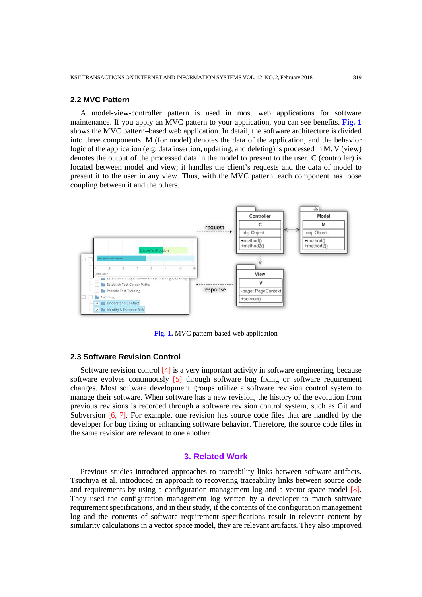#### **2.2 MVC Pattern**

A model-view-controller pattern is used in most web applications for software maintenance. If you apply an MVC pattern to your application, you can see benefits. **Fig. 1** shows the MVC pattern–based web application. In detail, the software architecture is divided into three components. M (for model) denotes the data of the application, and the behavior logic of the application (e.g. data insertion, updating, and deleting) is processed in M. V (view) denotes the output of the processed data in the model to present to the user. C (controller) is located between model and view; it handles the client's requests and the data of model to present it to the user in any view. Thus, with the MVC pattern, each component has loose coupling between it and the others.



**Fig. 1.** MVC pattern-based web application

## **2.3 Software Revision Control**

Software revision control [4] is a very important activity in software engineering, because software evolves continuously [5] through software bug fixing or software requirement changes. Most software development groups utilize a software revision control system to manage their software. When software has a new revision, the history of the evolution from previous revisions is recorded through a software revision control system, such as Git and Subversion [6, 7]. For example, one revision has source code files that are handled by the developer for bug fixing or enhancing software behavior. Therefore, the source code files in the same revision are relevant to one another.

# **3. Related Work**

Previous studies introduced approaches to traceability links between software artifacts. Tsuchiya et al. introduced an approach to recovering traceability links between source code and requirements by using a configuration management log and a vector space model [8]. They used the configuration management log written by a developer to match software requirement specifications, and in their study, if the contents of the configuration management log and the contents of software requirement specifications result in relevant content by similarity calculations in a vector space model, they are relevant artifacts. They also improved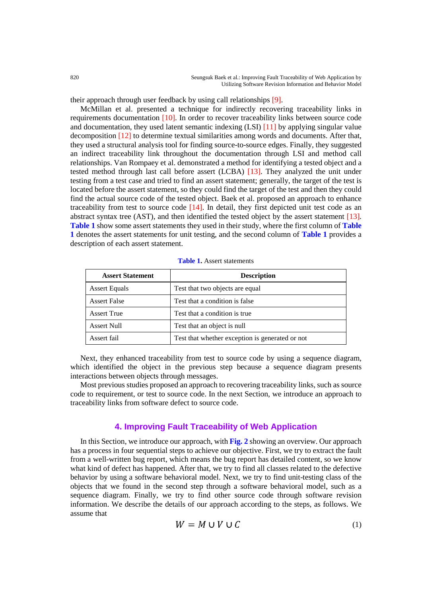their approach through user feedback by using call relationships [9].

McMillan et al. presented a technique for indirectly recovering traceability links in requirements documentation [10]. In order to recover traceability links between source code and documentation, they used latent semantic indexing (LSI) [11] by applying singular value decomposition [12] to determine textual similarities among words and documents. After that, they used a structural analysis tool for finding source-to-source edges. Finally, they suggested an indirect traceability link throughout the documentation through LSI and method call relationships. Van Rompaey et al. demonstrated a method for identifying a tested object and a tested method through last call before assert (LCBA) [13]. They analyzed the unit under testing from a test case and tried to find an assert statement; generally, the target of the test is located before the assert statement, so they could find the target of the test and then they could find the actual source code of the tested object. Baek et al. proposed an approach to enhance traceability from test to source code  $[14]$ . In detail, they first depicted unit test code as an abstract syntax tree (AST), and then identified the tested object by the assert statement [13]. **Table 1** show some assert statements they used in their study, where the first column of **Table 1** denotes the assert statements for unit testing, and the second column of **Table 1** provides a description of each assert statement.

| <b>Assert Statement</b> | <b>Description</b>                              |
|-------------------------|-------------------------------------------------|
| <b>Assert Equals</b>    | Test that two objects are equal                 |
| <b>Assert False</b>     | Test that a condition is false                  |
| <b>Assert True</b>      | Test that a condition is true.                  |
| Assert Null             | Test that an object is null                     |
| Assert fail             | Test that whether exception is generated or not |

**Table 1.** Assert statements

Next, they enhanced traceability from test to source code by using a sequence diagram, which identified the object in the previous step because a sequence diagram presents interactions between objects through messages.

Most previous studies proposed an approach to recovering traceability links, such as source code to requirement, or test to source code. In the next Section, we introduce an approach to traceability links from software defect to source code.

# **4. Improving Fault Traceability of Web Application**

In this Section, we introduce our approach, with **Fig. 2** showing an overview. Our approach has a process in four sequential steps to achieve our objective. First, we try to extract the fault from a well-written bug report, which means the bug report has detailed content, so we know what kind of defect has happened. After that, we try to find all classes related to the defective behavior by using a software behavioral model. Next, we try to find unit-testing class of the objects that we found in the second step through a software behavioral model, such as a sequence diagram. Finally, we try to find other source code through software revision information. We describe the details of our approach according to the steps, as follows. We assume that

$$
W = M \cup V \cup C \tag{1}
$$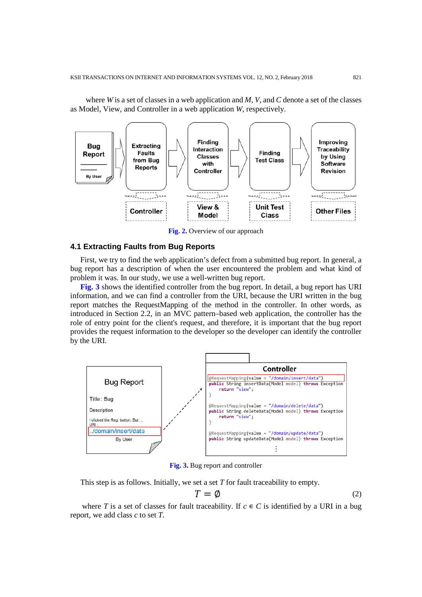where *W* is a set of classes in a web application and *M*, *V*, and *C* denote a set of the classes as Model, View, and Controller in a web application *W*, respectively.



**Fig. 2.** Overview of our approach

#### **4.1 Extracting Faults from Bug Reports**

First, we try to find the web application's defect from a submitted bug report. In general, a bug report has a description of when the user encountered the problem and what kind of problem it was. In our study, we use a well-written bug report.

**Fig. 3** shows the identified controller from the bug report. In detail, a bug report has URI information, and we can find a controller from the URI, because the URI written in the bug report matches the RequestMapping of the method in the controller. In other words, as introduced in Section 2.2, in an MVC pattern–based web application, the controller has the role of entry point for the client's request, and therefore, it is important that the bug report provides the request information to the developer so the developer can identify the controller by the URI.



**Fig. 3.** Bug report and controller

This step is as follows. Initially, we set a set *T* for fault traceability to empty.

$$
T = \emptyset \tag{2}
$$

where *T* is a set of classes for fault traceability. If  $c \in C$  is identified by a URI in a bug report, we add class *c* to set *T*.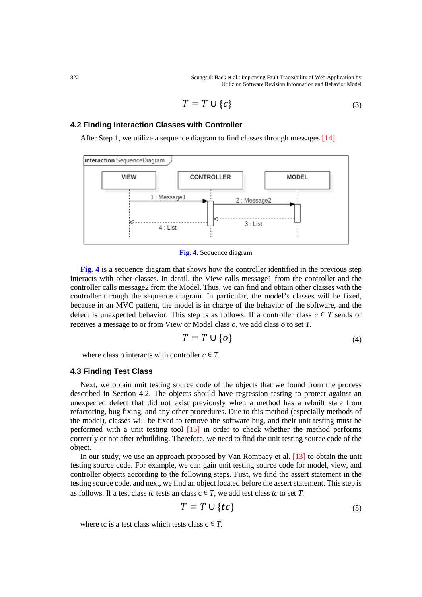822 Seungsuk Baek et al.: Improving Fault Traceability of Web Application by Utilizing Software Revision Information and Behavior Model

$$
T = T \cup \{c\} \tag{3}
$$

#### **4.2 Finding Interaction Classes with Controller**

After Step 1, we utilize a sequence diagram to find classes through messages [14].



**Fig. 4.** Sequence diagram

**Fig. 4** is a sequence diagram that shows how the controller identified in the previous step interacts with other classes. In detail, the View calls message1 from the controller and the controller calls message2 from the Model. Thus, we can find and obtain other classes with the controller through the sequence diagram. In particular, the model's classes will be fixed, because in an MVC pattern, the model is in charge of the behavior of the software, and the defect is unexpected behavior. This step is as follows. If a controller class  $c \in T$  sends or receives a message to or from View or Model class *o,* we add class *o* to set *T.*

$$
T = T \cup \{o\} \tag{4}
$$

where class o interacts with controller  $c \in T$ .

## **4.3 Finding Test Class**

Next, we obtain unit testing source code of the objects that we found from the process described in Section 4.2. The objects should have regression testing to protect against an unexpected defect that did not exist previously when a method has a rebuilt state from refactoring, bug fixing, and any other procedures. Due to this method (especially methods of the model), classes will be fixed to remove the software bug, and their unit testing must be performed with a unit testing tool [15] in order to check whether the method performs correctly or not after rebuilding. Therefore, we need to find the unit testing source code of the object.

In our study, we use an approach proposed by Van Rompaey et al. [13] to obtain the unit testing source code. For example, we can gain unit testing source code for model, view, and controller objects according to the following steps. First, we find the assert statement in the testing source code, and next, we find an object located before the assert statement. This step is as follows. If a test class *tc* tests an class  $c \in T$ , we add test class *tc* to set *T*.

$$
T = T \cup \{tc\} \tag{5}
$$

where tc is a test class which tests class  $c \in T$ .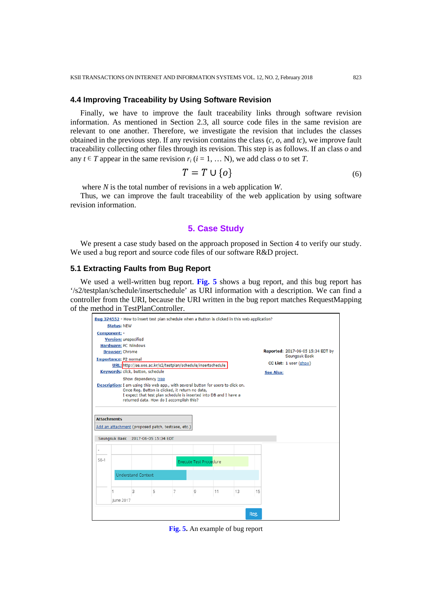### **4.4 Improving Traceability by Using Software Revision**

Finally, we have to improve the fault traceability links through software revision information. As mentioned in Section 2.3, all source code files in the same revision are relevant to one another. Therefore, we investigate the revision that includes the classes obtained in the previous step. If any revision contains the class (*c*, *o*, and *tc*), we improve fault traceability collecting other files through its revision. This step is as follows. If an class *o* and any  $t \in T$  appear in the same revision  $r_i$  ( $i = 1, \ldots N$ ), we add class  $o$  to set *T*.

$$
T = T \cup \{o\} \tag{6}
$$

where *N* is the total number of revisions in a web application *W*.

Thus, we can improve the fault traceability of the web application by using software revision information.

# **5. Case Study**

We present a case study based on the approach proposed in Section 4 to verify our study. We used a bug report and source code files of our software R&D project.

#### **5.1 Extracting Faults from Bug Report**

We used a well-written bug report. **Fig. 5** shows a bug report, and this bug report has '/s2/testplan/schedule/insertschedule' as URI information with a description. We can find a controller from the URI, because the URI written in the bug report matches RequestMapping of the method in TestPlanController.



**Fig. 5.** An example of bug report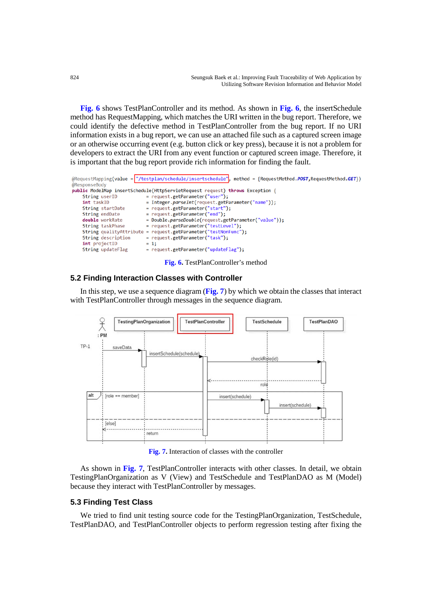**Fig. 6** shows TestPlanController and its method. As shown in **Fig. 6**, the insertSchedule method has RequestMapping, which matches the URI written in the bug report. Therefore, we could identify the defective method in TestPlanController from the bug report. If no URI information exists in a bug report, we can use an attached file such as a captured screen image or an otherwise occurring event (e.g. button click or key press), because it is not a problem for developers to extract the URI from any event function or captured screen image. Therefore, it is important that the bug report provide rich information for finding the fault.

|                    | @RequestMapping(value = "/testplan/schedule/insertschedule", method = {RequestMethod.POST,RequestMethod.GET}) |
|--------------------|---------------------------------------------------------------------------------------------------------------|
| @ResponseBody      |                                                                                                               |
|                    | public ModelMap insertSchedule(HttpServletRequest request) throws Exception {                                 |
| String userID      | = request.getParameter("user");                                                                               |
| int taskID         | = Integer.parseInt(request.getParameter("name"));                                                             |
| String startDate   | = request.getParameter("start");                                                                              |
| String endDate     | = request.getParameter("end");                                                                                |
| double workRate    | = Double.parseDouble(request.getParameter("value"));                                                          |
| String taskPhase   | = request.getParameter("testLevel");                                                                          |
|                    | String qualityAttribute = request.getParameter("testNonFunc");                                                |
| String description | = request.getParameter("task");                                                                               |
| int projectID      | $= 1$ ;                                                                                                       |
| String updateFlag  | = request.getParameter("updateFlag");                                                                         |
|                    | <b>Fig. 6.</b> TestPlanController's method                                                                    |

#### **5.2 Finding Interaction Classes with Controller**

In this step, we use a sequence diagram (**Fig. 7**) by which we obtain the classes that interact with TestPlanController through messages in the sequence diagram.



**Fig. 7.** Interaction of classes with the controller

As shown in **Fig. 7**, TestPlanController interacts with other classes. In detail, we obtain TestingPlanOrganization as V (View) and TestSchedule and TestPlanDAO as M (Model) because they interact with TestPlanController by messages.

# **5.3 Finding Test Class**

We tried to find unit testing source code for the TestingPlanOrganization, TestSchedule, TestPlanDAO, and TestPlanController objects to perform regression testing after fixing the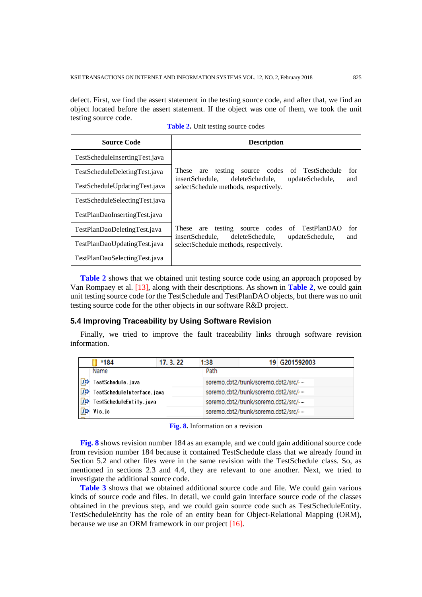defect. First, we find the assert statement in the testing source code, and after that, we find an object located before the assert statement. If the object was one of them, we took the unit testing source code.

| <b>Source Code</b>             | <b>Description</b>                                                          |                 |            |  |
|--------------------------------|-----------------------------------------------------------------------------|-----------------|------------|--|
| TestScheduleInsertingTest.java |                                                                             |                 |            |  |
| TestScheduleDeletingTest.java  | These<br>testing<br>source codes<br>are                                     | of TestSchedule | for<br>and |  |
| TestScheduleUpdatingTest.java  | deleteSchedule.<br>insertSchedule.<br>selectSchedule methods, respectively. | updateSchedule, |            |  |
| TestScheduleSelectingTest.java |                                                                             |                 |            |  |
| TestPlanDaoInsertingTest.java  |                                                                             |                 |            |  |
| TestPlanDaoDeletingTest.java   | These<br>testing<br>codes<br>are<br>source                                  | of TestPlanDAO  | for<br>and |  |
| TestPlanDaoUpdatingTest.java   | deleteSchedule.<br>insertSchedule.<br>selectSchedule methods, respectively. | updateSchedule, |            |  |
| TestPlanDaoSelectingTest.java  |                                                                             |                 |            |  |

**Table 2.** Unit testing source codes

**Table 2** shows that we obtained unit testing source code using an approach proposed by Van Rompaey et al. [13], along with their descriptions. As shown in **Table 2**, we could gain unit testing source code for the TestSchedule and TestPlanDAO objects, but there was no unit testing source code for the other objects in our software R&D project.

## **5.4 Improving Traceability by Using Software Revision**

Finally, we tried to improve the fault traceability links through software revision information.

|           | *184                       | 17.3.22 | 1:38 | 19 G201592003                      |
|-----------|----------------------------|---------|------|------------------------------------|
|           | Name                       |         | Path |                                    |
| Π¢        | TestSchedule.java          |         |      | soremo.cbt2/trunk/soremo.cbt2/src/ |
| <b>JD</b> | TestScheduleInterface.java |         |      | soremo.cbt2/trunk/soremo.cbt2/src/ |
| DD        | TestScheduleEntity.java    |         |      | soremo.cbt2/trunk/soremo.cbt2/src/ |
|           | Vis.js                     |         |      | soremo.cbt2/trunk/soremo.cbt2/src/ |

**Fig. 8.** Information on a revision

**Fig. 8** shows revision number 184 as an example, and we could gain additional source code from revision number 184 because it contained TestSchedule class that we already found in Section 5.2 and other files were in the same revision with the TestSchedule class. So, as mentioned in sections 2.3 and 4.4, they are relevant to one another. Next, we tried to investigate the additional source code.

**Table 3** shows that we obtained additional source code and file. We could gain various kinds of source code and files. In detail, we could gain interface source code of the classes obtained in the previous step, and we could gain source code such as TestScheduleEntity. TestScheduleEntity has the role of an entity bean for Object-Relational Mapping (ORM), because we use an ORM framework in our project [16].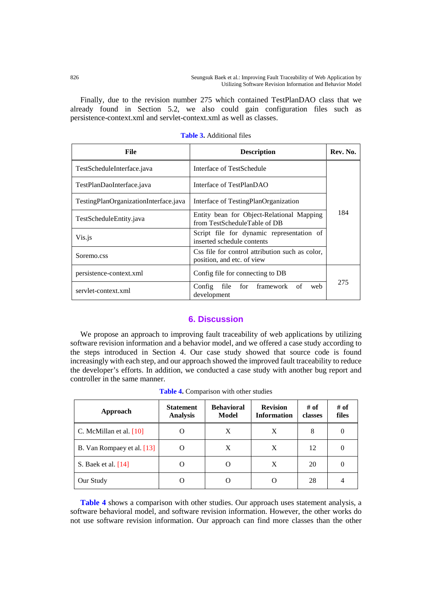Finally, due to the revision number 275 which contained TestPlanDAO class that we already found in Section 5.2, we also could gain configuration files such as persistence-context.xml and servlet-context.xml as well as classes.

| File                                  | <b>Description</b>                                                            | Rev. No. |
|---------------------------------------|-------------------------------------------------------------------------------|----------|
| TestScheduleInterface.java            | Interface of TestSchedule                                                     | 184      |
| TestPlanDaoInterface.java             | Interface of TestPlanDAO                                                      |          |
| TestingPlanOrganizationInterface.java | Interface of TestingPlanOrganization                                          |          |
| TestScheduleEntity.java               | Entity bean for Object-Relational Mapping<br>from TestScheduleTable of DB     |          |
| Vis.js                                | Script file for dynamic representation of<br>inserted schedule contents       |          |
| Soremo.css                            | Css file for control attribution such as color.<br>position, and etc. of view |          |
| persistence-context.xml               | Config file for connecting to DB                                              |          |
| servlet-context.xml                   | for framework of<br>Config<br>file<br>web<br>development                      | 275      |

**Table 3.** Additional files

# **6. Discussion**

We propose an approach to improving fault traceability of web applications by utilizing software revision information and a behavior model, and we offered a case study according to the steps introduced in Section 4. Our case study showed that source code is found increasingly with each step, and our approach showed the improved fault traceability to reduce the developer's efforts. In addition, we conducted a case study with another bug report and controller in the same manner.

| Approach                   | <b>Statement</b><br><b>Analysis</b> | <b>Behavioral</b><br><b>Model</b> | <b>Revision</b><br><b>Information</b> | # of<br>classes | # of<br>files    |
|----------------------------|-------------------------------------|-----------------------------------|---------------------------------------|-----------------|------------------|
| C. McMillan et al. $[10]$  | O                                   | X                                 | X                                     | 8               | $\left( \right)$ |
| B. Van Rompaey et al. [13] | ( )                                 | X                                 | X                                     | 12              | O                |
| S. Baek et al. [14]        |                                     |                                   | X                                     | 20              | $\theta$         |
| Our Study                  |                                     |                                   |                                       | 28              |                  |

**Table 4.** Comparison with other studies

**Table 4** shows a comparison with other studies. Our approach uses statement analysis, a software behavioral model, and software revision information. However, the other works do not use software revision information. Our approach can find more classes than the other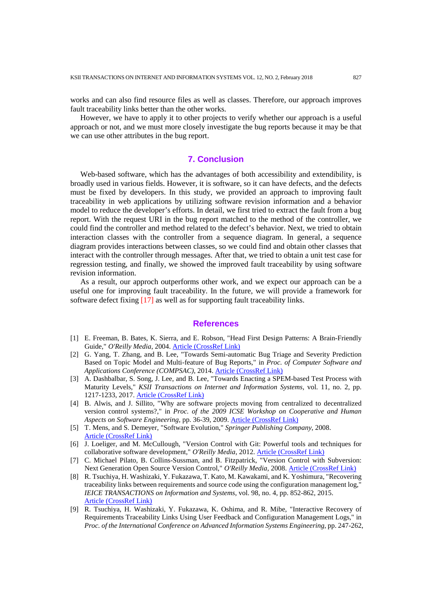works and can also find resource files as well as classes. Therefore, our approach improves fault traceability links better than the other works.

However, we have to apply it to other projects to verify whether our approach is a useful approach or not, and we must more closely investigate the bug reports because it may be that we can use other attributes in the bug report.

# **7. Conclusion**

Web-based software, which has the advantages of both accessibility and extendibility, is broadly used in various fields. However, it is software, so it can have defects, and the defects must be fixed by developers. In this study, we provided an approach to improving fault traceability in web applications by utilizing software revision information and a behavior model to reduce the developer's efforts. In detail, we first tried to extract the fault from a bug report. With the request URI in the bug report matched to the method of the controller, we could find the controller and method related to the defect's behavior. Next, we tried to obtain interaction classes with the controller from a sequence diagram. In general, a sequence diagram provides interactions between classes, so we could find and obtain other classes that interact with the controller through messages. After that, we tried to obtain a unit test case for regression testing, and finally, we showed the improved fault traceability by using software revision information.

As a result, our approch outperforms other work, and we expect our approach can be a useful one for improving fault traceability. In the future, we will provide a framework for software defect fixing [17] as well as for supporting fault traceability links.

# **References**

- [1] E. Freeman, B. Bates, K. Sierra, and E. Robson, "Head First Design Patterns: A Brain-Friendly Guide," *O'Reilly Media*, 2004. [Article \(CrossRef Link\)](https://dl.acm.org/citation.cfm?id=1076324)
- [2] G. Yang, T. Zhang, and B. Lee, "Towards Semi-automatic Bug Triage and Severity Prediction Based on Topic Model and Multi-feature of Bug Reports," in *Proc. of Computer Software and Applications Conference (COMPSAC)*, 2014. [Article \(CrossRef Link\)](https://dx.doi.org/10.1109/COMPSAC.2014.16)
- [3] A. Dashbalbar, S. Song, J. Lee, and B. Lee, "Towards Enacting a SPEM-based Test Process with Maturity Levels," *KSII Transactions on Internet and Information Systems*, vol. 11, no. 2, pp. 1217-1233, 2017. [Article \(CrossRef Link\)](https://dx.doi.org/10.3837/tiis.2017.02.034)
- [4] B. Alwis, and J. Sillito, "Why are software projects moving from centralized to decentralized version control systems?," in *Proc. of the 2009 ICSE Workshop on Cooperative and Human Aspects on Software Engineering*, pp. 36-39, 2009. [Article \(CrossRef Link\)](https://dx.doi.org/10.1109/CHASE.2009.5071408)
- [5] T. Mens, and S. Demeyer, "Software Evolution," *Springer Publishing Company*, 2008. [Article \(CrossRef Link\)](https://dx.doi.org/10.1007/978-3-540-76440-3)
- [6] J. Loeliger, and M. McCullough, "Version Control with Git: Powerful tools and techniques for collaborative software development," *O'Reilly Media*, 2012. [Article \(CrossRef Link\)](http://shop.oreilly.com/product/0636920022862.do)
- [7] C. Michael Pilato, B. Collins-Sussman, and B. Fitzpatrick, "Version Control with Subversion: Next Generation Open Source Version Control," O'Reilly Media, 2008. [Article \(CrossRef Link\)](http://shop.oreilly.com/product/9780596004484.do)
- [8] R. Tsuchiya, H. Washizaki, Y. Fukazawa, T. Kato, M. Kawakami, and K. Yoshimura, "Recovering traceability links between requirements and source code using the configuration management log," *IEICE TRANSACTIONS on Information and Systems*, vol. 98, no. 4, pp. 852-862, 2015. [Article \(CrossRef Link\)](https://dx.doi.org/10.1587/transinf.2014EDP7199)
- [9] R. Tsuchiya, H. Washizaki, Y. Fukazawa, K. Oshima, and R. Mibe, "Interactive Recovery of Requirements Traceability Links Using User Feedback and Configuration Management Logs," in *Proc. of the International Conference on Advanced Information Systems Engineering*, pp. 247-262,